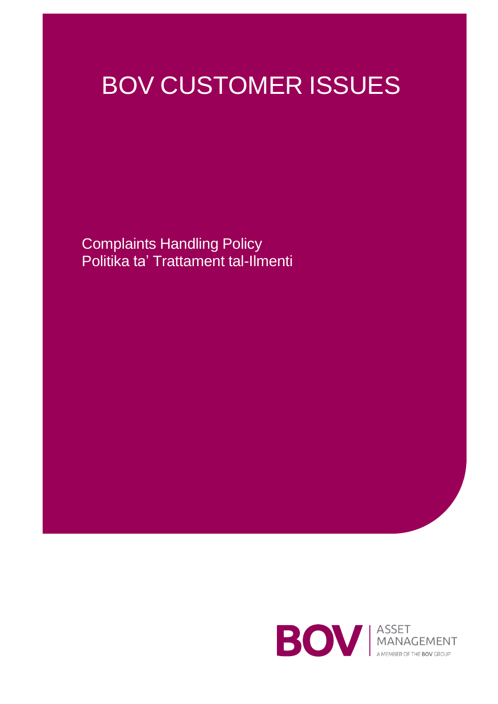# BOV CUSTOMER ISSUES

Complaints Handling Policy Politika ta' Trattament tal-Ilmenti

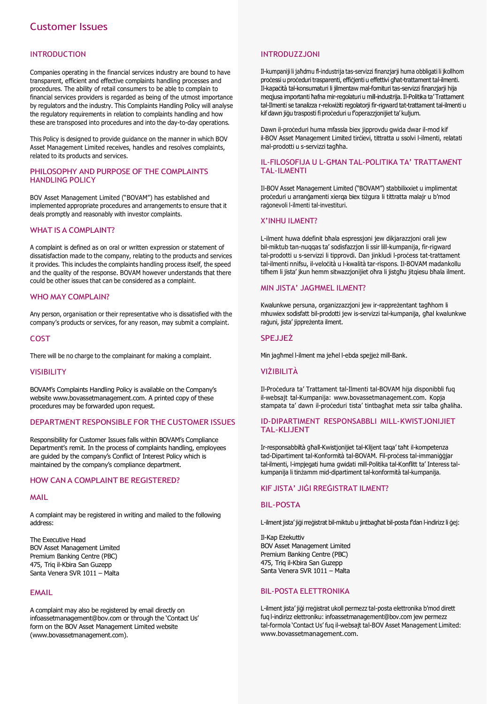# INTRODUCTION

Companies operating in the financial services industry are bound to have transparent, efficient and effective complaints handling processes and procedures. The ability of retail consumers to be able to complain to financial services providers is regarded as being of the utmost importance by regulators and the industry. This Complaints Handling Policy will analyse the regulatory requirements in relation to complaints handling and how these are transposed into procedures and into the day-to-day operations.

This Policy is designed to provide guidance on the manner in which BOV Asset Management Limited receives, handles and resolves complaints, related to its products and services.

#### PHILOSOPHY AND PURPOSE OF THE COMPLAINTS HANDLING POLICY

BOV Asset Management Limited ("BOVAM") has established and implemented appropriate procedures and arrangements to ensure that it deals promptly and reasonably with investor complaints.

#### WHAT IS A COMPLAINT?

A complaint is defined as on oral or written expression or statement of dissatisfaction made to the company, relating to the products and services it provides. This includes the complaints handling process itself, the speed and the quality of the response. BOVAM however understands that there could be other issues that can be considered as a complaint.

### WHO MAY COMPLAIN?

Any person, organisation or their representative who is dissatisfied with the company's products or services, for any reason, may submit a complaint.

# COST

There will be no charge to the complainant for making a complaint.

#### VISIBILITY

BOVAM's Complaints Handling Policy is available on the Company's website [www.bovassetmanagement.com. A](http://www.bovassetmanagement.com/) printed copy of these procedures may be forwarded upon request.

#### DEPARTMENT RESPONSIBLE FOR THE CUSTOMER ISSUES

Responsibility for Customer Issues falls within BOVAM's Compliance Department's remit. In the process of complaints handling, employees are guided by the company's Conflict of Interest Policy which is maintained by the company's compliance department.

# HOW CAN A COMPLAINT BE REGISTERED?

#### MAIL

A complaint may be registered in writing and mailed to the following address:

The Executive Head BOV Asset Management Limited Premium Banking Centre (PBC) 475, Triq il-Kbira San Guzepp Santa Venera SVR 1011 – Malta

# EMAIL

A complaint may also be registered by email directly on [infoassetmanagement@bov.com](mailto:infoassetmanagement@bov.com) or through the 'Contact Us' form on the BOV Asset Management Limited website (www.bovassetmanagement.com).

#### INTRODUZZJONI

Il-kumpaniji li jaħdmu fl-industrija tas-servizzi finanzjarji huma obbligati li jkollhom processi u proceduri trasparenti, efficienti u effettivi għat-trattament tal-ilmenti. Il-kapaċità tal-konsumaturi li jilmentaw mal-fornituri tas-servizzi finanzjarji hija meqjusa importanti ħafna mir-regolaturiu mill-industrija.Il-Politika ta' Trattament tal-Ilmenti se tanalizza r-rekwiżiti regolatorji fir-rigward tat-trattament tal-ilmenti u kif dawn jiġu trasposti fi proċeduri u f'operazzjonijiet ta' kuljum.

Dawn il-proċeduri huma mfassla biex jipprovdu gwida dwar il-mod kif il-BOV Asset Management Limited tirċievi, tittratta u ssolvi l-ilmenti, relatati mal-prodotti u s-servizzi tagħha.

#### IL-FILOSOFIJA U L-GĦAN TAL-POLITIKA TA' TRATTAMENT TAL-ILMENTI

Il-BOV Asset Management Limited ("BOVAM") stabbilixxiet u implimentat proċeduri u arranġamenti xierqa biex tiżgura li tittratta malajr u b'mod raġonevoli l-ilmenti tal-investituri.

#### X'INHU ILMENT?

L-ilment huwa ddefinit bħala espressjoni jew dikjarazzjoni orali jew bil-miktub tan-nuqqas ta' sodisfazzjon li ssir lill-kumpanija, fir-rigward tal-prodotti u s-servizzi li tipprovdi. Dan jinkludi l-process tat-trattament tal-ilmenti nnifsu, il-veloċità u l-kwalità tar-rispons. Il-BOVAM madankollu tifhem li jista' jkun hemm sitwazzjonijiet oħra li jistgħu jitgiesu bħala ilment.

#### MIN JISTA' JAGĦMEL ILMENT?

Kwalunkwe persuna, organizzazzjoni jew ir-rappreżentant tagħhom li mhuwiex sodisfatt bil-prodotti jew is-servizzi tal-kumpanija, għal kwalunkwe raġuni, jista' jippreżenta ilment.

#### SPEJJEŻ

Min jagħmel l-ilment ma jeħel l-ebda spejjeż mill-Bank.

#### VIŻIBILITÀ

Il-Proċedura ta' Trattament tal-Ilmenti tal-BOVAM hija disponibbli fuq il-websajt tal-Kumpanija: [www.bovassetmanagement.com.](http://www.bovassetmanagement.com/) Kopja stampata ta' dawn il-proceduri tista' tintbagħat meta ssir talba għaliha.

#### ID-DIPARTIMENT RESPONSABBLI MILL-KWISTJONIJIET TAL-KLIJENT

Ir-responsabbiltà għall-Kwistjonijiet tal-Klijent taqa' taħt il-kompetenza tad-Dipartiment tal-Konformità tal-BOVAM. Fil-process tal-immaniġġjar tal-ilmenti, l-impjegati huma gwidati mill-Politika tal-Konflitt ta' Interess talkumpanija li tinżamm mid-dipartiment tal-konformità tal-kumpanija.

# KIF JISTA' JIĠI RREĠISTRAT ILMENT?

#### BIL-POSTA

L-ilment jista' jiġirreġistrat bil-miktub u jintbagħat bil-posta f'dan l-indirizz li ġej:

Il-Kap Eżekuttiv BOV Asset Management Limited Premium Banking Centre (PBC) 475, Triq il-Kbira San Guzepp Santa Venera SVR 1011 – Malta

# BIL-POSTA ELETTRONIKA

L-ilment jista' jiġi rreġistrat ukoll permezz tal-posta elettronika b'mod dirett fuq l-indirizz elettroniku: [infoassetmanagement@bov.com](mailto:infoassetmanagement@bov.com) jew permezz tal-formola 'Contact Us' fuq il-websajt tal-BOV Asset Management Limited: [www.bovassetmanagement.com.](http://www.bovassetmanagement.com/)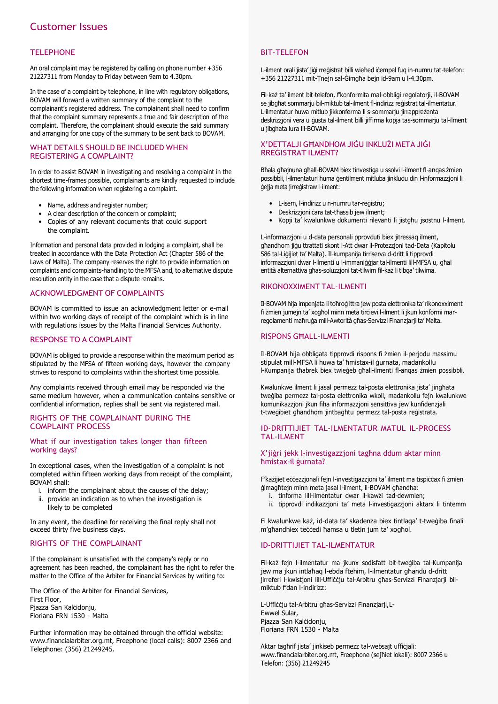# Customer Issues

#### **TELEPHONE**

An oral complaint may be registered by calling on phone number +356 21227311 from Monday to Friday between 9am to 4.30pm.

In the case of a complaint by telephone, in line with regulatory obligations, BOVAM will forward a written summary of the complaint to the complainant's registered address. The complainant shall need to confirm that the complaint summary represents a true and fair description of the complaint. Therefore, the complainant should execute the said summary and arranging for one copy of the summary to be sent back to BOVAM.

#### WHAT DETAILS SHOULD BE INCLUDED WHEN REGISTERING A COMPLAINT?

In order to assist BOVAM in investigating and resolving a complaint in the shortest time-frames possible, complainants are kindly requested to include the following information when registering a complaint.

- Name, address and register number:
- A clear description of the concern or complaint;
- Copies of any relevant documents that could support the complaint.

Information and personal data provided in lodging a complaint, shall be treated in accordance with the Data Protection Act (Chapter 586 of the Laws of Malta). The company reserves the right to provide information on complaints and complaints-handling to the MFSA and, to alternative dispute resolution entity in the case that a dispute remains.

# ACKNOWLEDGMENT OF COMPLAINTS

BOVAM is committed to issue an acknowledgment letter or e-mail within two working days of receipt of the complaint which is in line with regulations issues by the Malta Financial Services Authority.

#### RESPONSE TO A COMPLAINT

BOVAM is obliged to provide a response within the maximum period as stipulated by the MFSA of fifteen working days, however the company strives to respond to complaints within the shortest time possible.

Any complaints received through email may be responded via the same medium however, when a communication contains sensitive or confidential information, replies shall be sent via registered mail.

#### RIGHTS OF THE COMPLAINANT DURING THE COMPLAINT PROCESS

#### What if our investigation takes longer than fifteen working days?

In exceptional cases, when the investigation of a complaint is not completed within fifteen working days from receipt of the complaint, BOVAM shall:

- i. inform the complainant about the causes of the delay;
- ii. provide an indication as to when the investigation is likely to be completed

In any event, the deadline for receiving the final reply shall not exceed thirty five business days.

# RIGHTS OF THE COMPLAINANT

If the complainant is unsatisfied with the company's reply or no agreement has been reached, the complainant has the right to refer the matter to the Office of the Arbiter for Financial Services by writing to:

The Office of the Arbiter for Financial Services, First Floor, Pjazza San Kalċidonju, Floriana FRN 1530 - Malta

Further information may be obtained through the official website: [www.financialarbiter.org.mt, F](http://www.financialarbiter.org.mt/)reephone (local calls): 8007 2366 and Telephone: (356) 21249245.

#### BIT-TELEFON

L-ilment orali jista' jiġi rreġistrat billi wieħed iċempel fuq in-numru tat-telefon: +356 21227311 mit-Tnejn sal-Ġimgħa bejn id-9am u l-4.30pm.

Fil-każ ta' ilment bit-telefon, f'konformita mal-obbligi regolatorji, il-BOVAM se jibgħat sommarju bil-miktub tal-ilment fl-indirizz reġistrat tal-ilmentatur. L-ilmentatur huwa mitlub jikkonferma li s-sommarju jirrappreżenta deskrizzjoni vera u ġusta tal-ilment billi jiffirma kopja tas-sommarju tal-ilment u jibghata lura lil-BOVAM.

#### X'DETTALJI GĦANDHOM JIĠU INKLUŻI META JIĠI RREĠISTRAT ILMENT?

Bħala għajnuna għall-BOVAM biex tinvestiga u ssolvi l-ilment fl-anqas żmien possibbli, l-ilmentaturi huma ġentilment mitluba jinkludu din l-informazzjoni li ġejja meta jirreġistraw l-ilment:

- L-isem, l-indirizz u n-numru tar-reġistru;
- Deskrizzjoni ċara tat-tħassib jew ilment;
- Kopji ta' kwalunkwe dokumenti rilevanti li jistahu jsostnu l-ilment.

L-informazzjoni u d-data personali pprovduti biex jitressaq ilment, għandhom jiġu ttrattati skont l-Att dwar il-Protezzjoni tad-Data (Kapitolu 586 tal-Liġijiet ta' Malta). Il-kumpanija tirriserva d-dritt li tipprovdi informazzjoni dwar l-ilmenti u l-immaniġġjar tal-ilmenti lill-MFSA u, għal entità alternattiva għas-soluzzjoni tat-tilwim fil-każ li tibqa' tilwima.

#### RIKONOXXIMENT TAL-ILMENTI

Il-BOVAM hija impenjata li toħroġ ittra jew posta elettronika ta' rikonoxximent fi żmien jumejn ta' xogħol minn meta tirċievi l-ilment li jkun konformi marregolamenti maħruġa mill-Awtorità għas-Servizzi Finanzjarji ta' Malta.

#### RISPONS GĦALL-ILMENTI

Il-BOVAM hija obbligata tipprovdi rispons fi żmien il-perjodu massimu stipulat mill-MFSA li huwa ta' ħmistax-il ġurnata, madankollu l-Kumpanija tħabrek biex twieġeb għall-ilmenti fl-anqas żmien possibbli.

Kwalunkwe ilment li jasal permezz tal-posta elettronika jista' jingħata tweġiba permezz tal-posta elettronika wkoll, madankollu fejn kwalunkwe komunikazzjoni jkun fiha informazzjoni sensittiva jew kunfidenzjali t-tweġibiet għandhom jintbagħtu permezz tal-posta reġistrata.

#### ID-DRITTIJIET TAL-ILMENTATUR MATUL IL-PROCESS TAL-ILMENT

#### X'jiġri jekk l-investigazzjoni tagħna ddum aktar minn ħmistax-il ġurnata?

F'każijiet eċċezzjonali fejn l-investigazzjoni ta' ilment ma tispiċċax fi żmien ġimagħtejn minn meta jasal l-ilment, il-BOVAM għandha:

- i. tinforma lill-ilmentatur dwar il-kawżi tad-dewmien;
- ii. tipprovdi indikazzjoni ta' meta l-investigazzjoni aktarx li tintemm

Fi kwalunkwe każ, id-data ta' skadenza biex tintlaqa' t-tweġiba finali m'għandhiex teċċedi ħamsa u tletin jum ta' xogħol.

# ID-DRITTIJIET TAL-ILMENTATUR

Fil-każ fejn l-ilmentatur ma jkunx sodisfatt bit-tweġiba tal-Kumpanija jew ma jkun intlaħaq l-ebda ftehim, l-ilmentatur għandu d-dritt jirreferi l-kwistjoni lill-Uffiċċju tal-Arbitru għas-Servizzi Finanzjarji bilmiktub f'dan l-indirizz:

L-Uffiċċju tal-Arbitru għas-Servizzi Finanzjarji,L-Ewwel Sular, Pjazza San Kalċidonju, Floriana FRN 1530 - Malta

Aktar tagħrif jista' jinkiseb permezz tal-websajt ufficjali: [www.financialarbiter.org.mt,](http://www.financialarbiter.org.mt/) Freephone (sejħiet lokali): 8007 2366 u Telefon: (356) 21249245